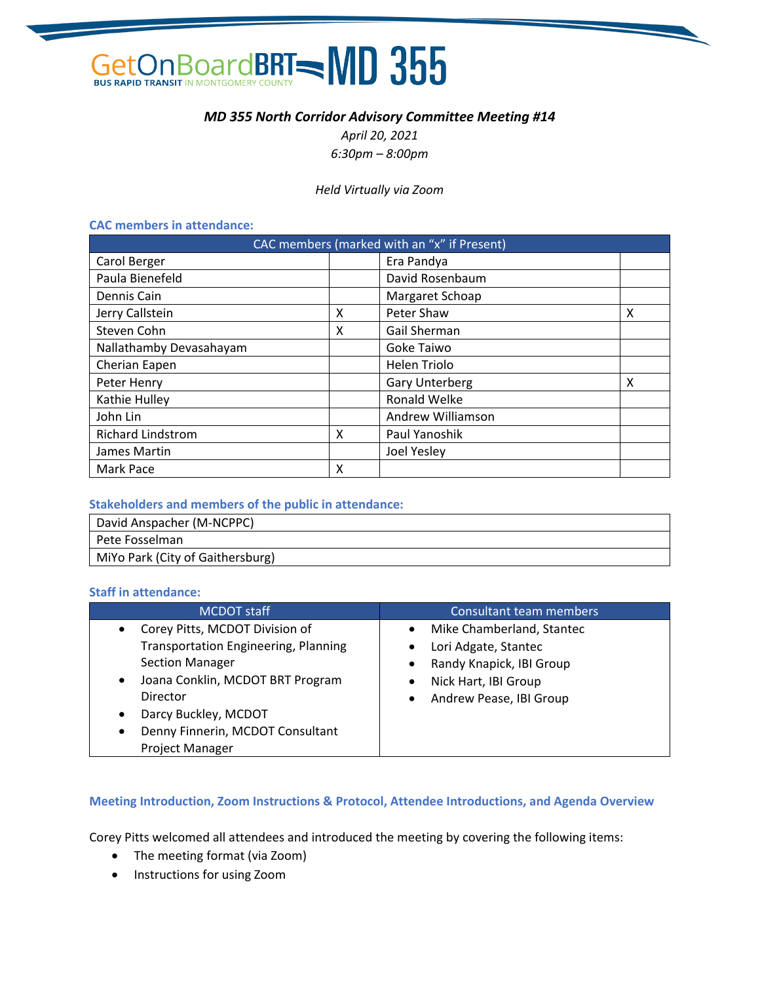

#### *MD 355 North Corridor Advisory Committee Meeting #14*

*April 20, 2021 6:30pm – 8:00pm*

#### *Held Virtually via Zoom*

#### **CAC members in attendance:**

| CAC members (marked with an "x" if Present) |   |                       |   |
|---------------------------------------------|---|-----------------------|---|
| Carol Berger                                |   | Era Pandya            |   |
| Paula Bienefeld                             |   | David Rosenbaum       |   |
| Dennis Cain                                 |   | Margaret Schoap       |   |
| Jerry Callstein                             | X | Peter Shaw            | X |
| Steven Cohn                                 | x | Gail Sherman          |   |
| Nallathamby Devasahayam                     |   | Goke Taiwo            |   |
| Cherian Eapen                               |   | <b>Helen Triolo</b>   |   |
| Peter Henry                                 |   | <b>Gary Unterberg</b> | X |
| Kathie Hulley                               |   | <b>Ronald Welke</b>   |   |
| John Lin                                    |   | Andrew Williamson     |   |
| <b>Richard Lindstrom</b>                    | x | Paul Yanoshik         |   |
| James Martin                                |   | <b>Joel Yesley</b>    |   |
| Mark Pace                                   | x |                       |   |

#### **Stakeholders and members of the public in attendance:**

| David Anspacher (M-NCPPC)        |
|----------------------------------|
| Pete Fosselman                   |
| MiYo Park (City of Gaithersburg) |

#### **Staff in attendance:**

| <b>MCDOT</b> staff                                                                                                                                                                                  | Consultant team members                                                                  |
|-----------------------------------------------------------------------------------------------------------------------------------------------------------------------------------------------------|------------------------------------------------------------------------------------------|
| Corey Pitts, MCDOT Division of<br>$\bullet$<br><b>Transportation Engineering, Planning</b>                                                                                                          | Mike Chamberland, Stantec<br>Lori Adgate, Stantec                                        |
| <b>Section Manager</b><br>Joana Conklin, MCDOT BRT Program<br>$\bullet$<br>Director<br>Darcy Buckley, MCDOT<br>$\bullet$<br>Denny Finnerin, MCDOT Consultant<br>$\bullet$<br><b>Project Manager</b> | Randy Knapick, IBI Group<br>Nick Hart, IBI Group<br>Andrew Pease, IBI Group<br>$\bullet$ |

#### **Meeting Introduction, Zoom Instructions & Protocol, Attendee Introductions, and Agenda Overview**

Corey Pitts welcomed all attendees and introduced the meeting by covering the following items:

- The meeting format (via Zoom)
- Instructions for using Zoom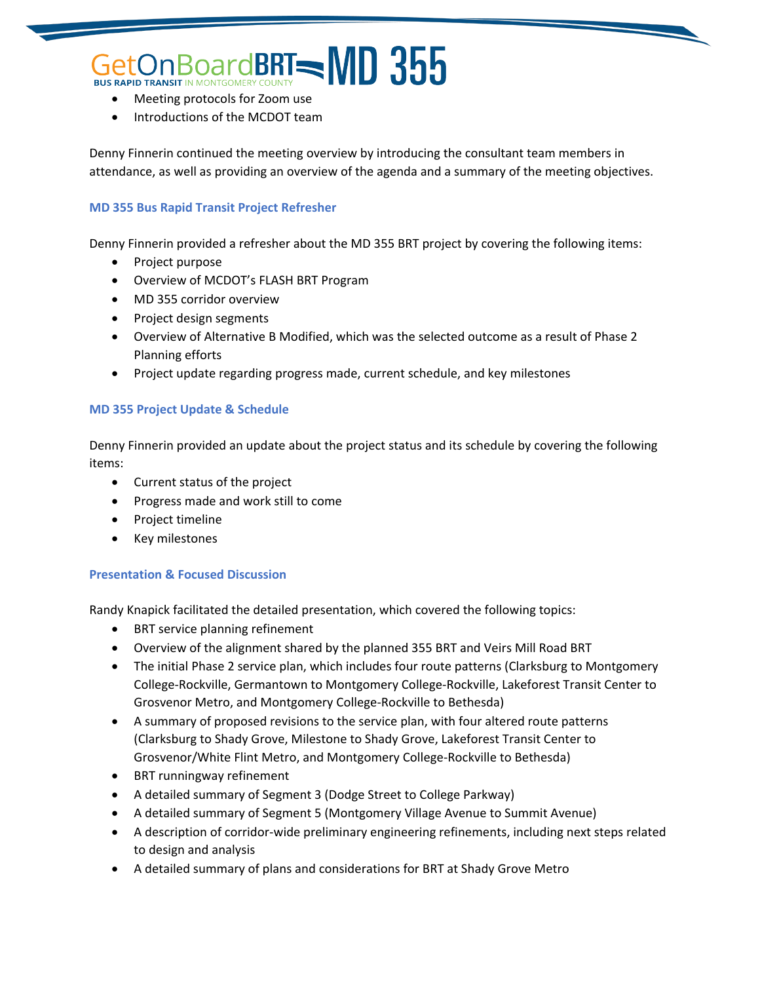### GetOnBoardBRT=MD 355 **BUS RAPID TRANSIT IN MONTGOMERY COUNTY**

- Meeting protocols for Zoom use
- Introductions of the MCDOT team

Denny Finnerin continued the meeting overview by introducing the consultant team members in attendance, as well as providing an overview of the agenda and a summary of the meeting objectives.

#### **MD 355 Bus Rapid Transit Project Refresher**

Denny Finnerin provided a refresher about the MD 355 BRT project by covering the following items:

- Project purpose
- Overview of MCDOT's FLASH BRT Program
- MD 355 corridor overview
- Project design segments
- Overview of Alternative B Modified, which was the selected outcome as a result of Phase 2 Planning efforts
- Project update regarding progress made, current schedule, and key milestones

#### **MD 355 Project Update & Schedule**

Denny Finnerin provided an update about the project status and its schedule by covering the following items:

- Current status of the project
- Progress made and work still to come
- Project timeline
- Key milestones

#### **Presentation & Focused Discussion**

Randy Knapick facilitated the detailed presentation, which covered the following topics:

- BRT service planning refinement
- Overview of the alignment shared by the planned 355 BRT and Veirs Mill Road BRT
- The initial Phase 2 service plan, which includes four route patterns (Clarksburg to Montgomery College-Rockville, Germantown to Montgomery College-Rockville, Lakeforest Transit Center to Grosvenor Metro, and Montgomery College-Rockville to Bethesda)
- A summary of proposed revisions to the service plan, with four altered route patterns (Clarksburg to Shady Grove, Milestone to Shady Grove, Lakeforest Transit Center to Grosvenor/White Flint Metro, and Montgomery College-Rockville to Bethesda)
- BRT runningway refinement
- A detailed summary of Segment 3 (Dodge Street to College Parkway)
- A detailed summary of Segment 5 (Montgomery Village Avenue to Summit Avenue)
- A description of corridor-wide preliminary engineering refinements, including next steps related to design and analysis
- A detailed summary of plans and considerations for BRT at Shady Grove Metro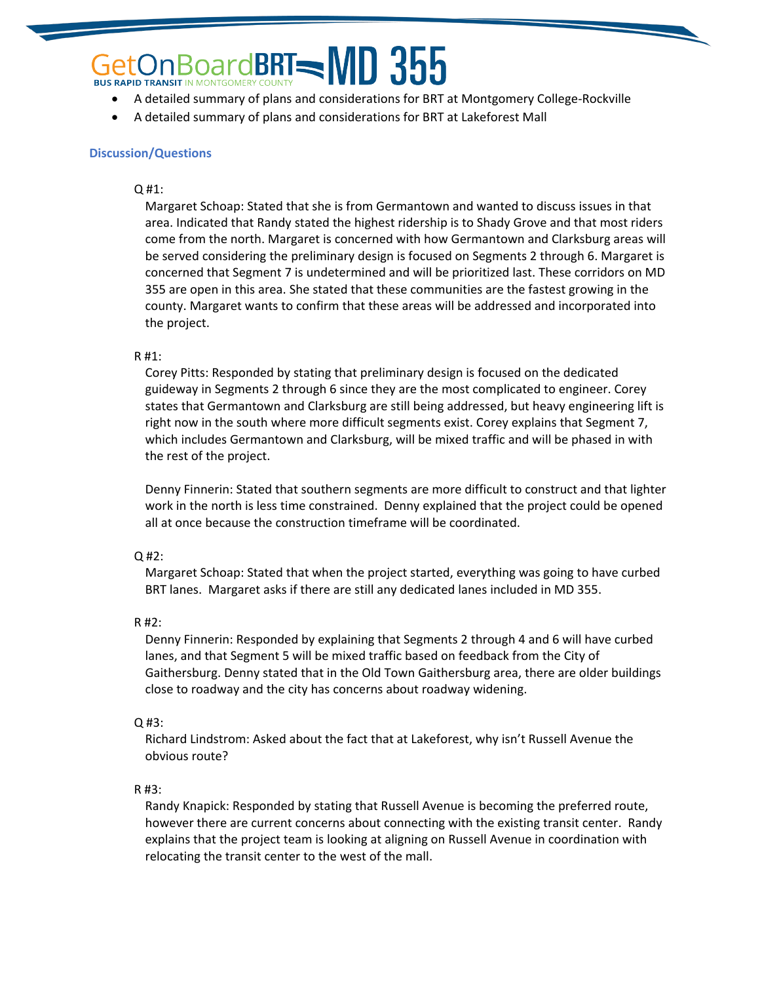# **GetOn Board BRT MID 355**<br>• A detailed summary of plans and considerations for BRT at Montgomery College-Rockville

- 
- A detailed summary of plans and considerations for BRT at Lakeforest Mall

#### **Discussion/Questions**

#### Q #1:

Margaret Schoap: Stated that she is from Germantown and wanted to discuss issues in that area. Indicated that Randy stated the highest ridership is to Shady Grove and that most riders come from the north. Margaret is concerned with how Germantown and Clarksburg areas will be served considering the preliminary design is focused on Segments 2 through 6. Margaret is concerned that Segment 7 is undetermined and will be prioritized last. These corridors on MD 355 are open in this area. She stated that these communities are the fastest growing in the county. Margaret wants to confirm that these areas will be addressed and incorporated into the project.

#### R #1:

Corey Pitts: Responded by stating that preliminary design is focused on the dedicated guideway in Segments 2 through 6 since they are the most complicated to engineer. Corey states that Germantown and Clarksburg are still being addressed, but heavy engineering lift is right now in the south where more difficult segments exist. Corey explains that Segment 7, which includes Germantown and Clarksburg, will be mixed traffic and will be phased in with the rest of the project.

Denny Finnerin: Stated that southern segments are more difficult to construct and that lighter work in the north is less time constrained. Denny explained that the project could be opened all at once because the construction timeframe will be coordinated.

#### Q #2:

Margaret Schoap: Stated that when the project started, everything was going to have curbed BRT lanes. Margaret asks if there are still any dedicated lanes included in MD 355.

R #2:

Denny Finnerin: Responded by explaining that Segments 2 through 4 and 6 will have curbed lanes, and that Segment 5 will be mixed traffic based on feedback from the City of Gaithersburg. Denny stated that in the Old Town Gaithersburg area, there are older buildings close to roadway and the city has concerns about roadway widening.

#### Q #3:

Richard Lindstrom: Asked about the fact that at Lakeforest, why isn't Russell Avenue the obvious route?

#### R #3:

Randy Knapick: Responded by stating that Russell Avenue is becoming the preferred route, however there are current concerns about connecting with the existing transit center. Randy explains that the project team is looking at aligning on Russell Avenue in coordination with relocating the transit center to the west of the mall.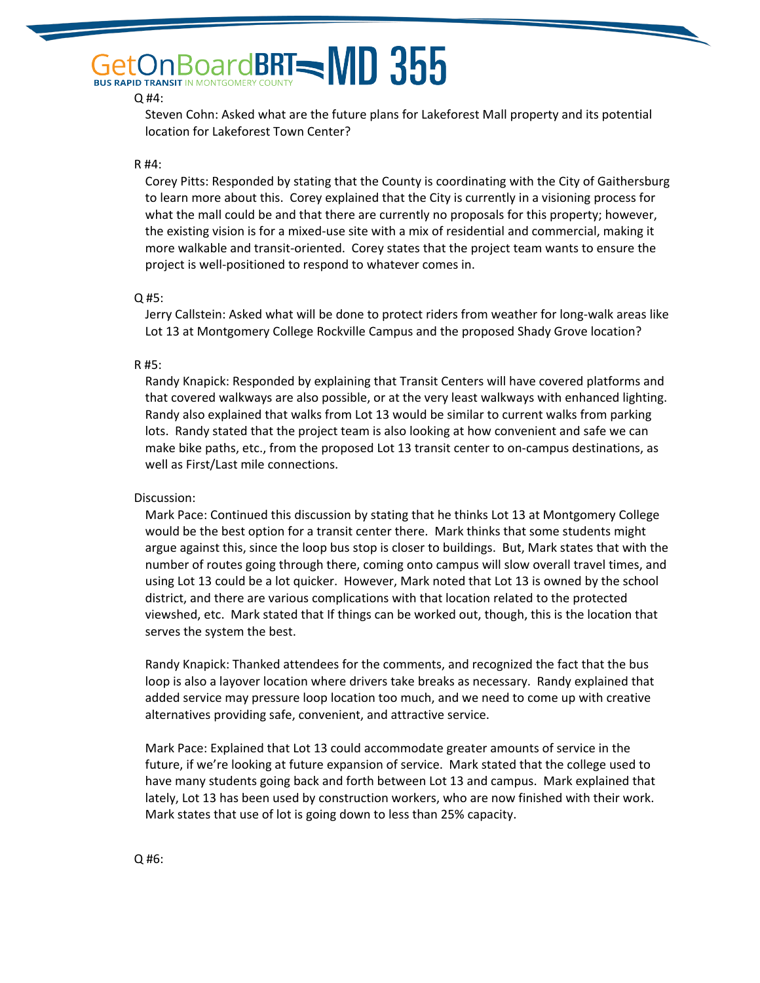## GetOnBoardBRT=MD 355 **BUS RAPID TRANSIT IN MONTGOMERY COL**

#### Q #4:

Steven Cohn: Asked what are the future plans for Lakeforest Mall property and its potential location for Lakeforest Town Center?

#### R #4:

Corey Pitts: Responded by stating that the County is coordinating with the City of Gaithersburg to learn more about this. Corey explained that the City is currently in a visioning process for what the mall could be and that there are currently no proposals for this property; however, the existing vision is for a mixed-use site with a mix of residential and commercial, making it more walkable and transit-oriented. Corey states that the project team wants to ensure the project is well-positioned to respond to whatever comes in.

#### Q #5:

Jerry Callstein: Asked what will be done to protect riders from weather for long-walk areas like Lot 13 at Montgomery College Rockville Campus and the proposed Shady Grove location?

#### R #5:

Randy Knapick: Responded by explaining that Transit Centers will have covered platforms and that covered walkways are also possible, or at the very least walkways with enhanced lighting. Randy also explained that walks from Lot 13 would be similar to current walks from parking lots. Randy stated that the project team is also looking at how convenient and safe we can make bike paths, etc., from the proposed Lot 13 transit center to on-campus destinations, as well as First/Last mile connections.

#### Discussion:

Mark Pace: Continued this discussion by stating that he thinks Lot 13 at Montgomery College would be the best option for a transit center there. Mark thinks that some students might argue against this, since the loop bus stop is closer to buildings. But, Mark states that with the number of routes going through there, coming onto campus will slow overall travel times, and using Lot 13 could be a lot quicker. However, Mark noted that Lot 13 is owned by the school district, and there are various complications with that location related to the protected viewshed, etc. Mark stated that If things can be worked out, though, this is the location that serves the system the best.

Randy Knapick: Thanked attendees for the comments, and recognized the fact that the bus loop is also a layover location where drivers take breaks as necessary. Randy explained that added service may pressure loop location too much, and we need to come up with creative alternatives providing safe, convenient, and attractive service.

Mark Pace: Explained that Lot 13 could accommodate greater amounts of service in the future, if we're looking at future expansion of service. Mark stated that the college used to have many students going back and forth between Lot 13 and campus. Mark explained that lately, Lot 13 has been used by construction workers, who are now finished with their work. Mark states that use of lot is going down to less than 25% capacity.